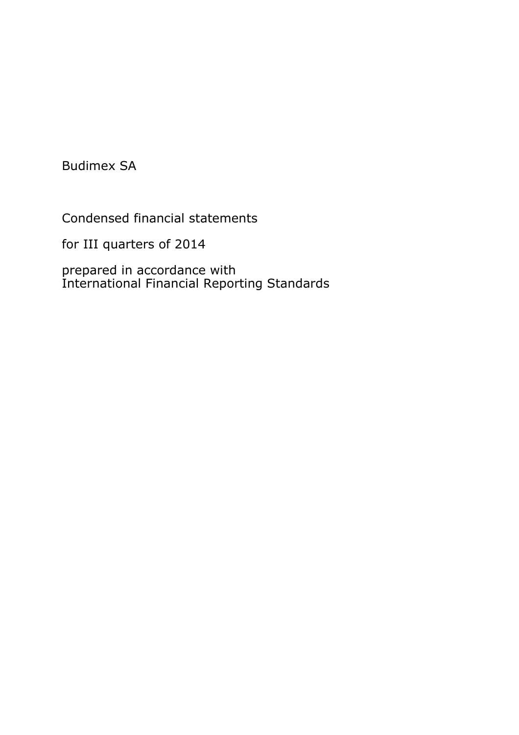Budimex SA

Condensed financial statements

for III quarters of 2014

prepared in accordance with International Financial Reporting Standards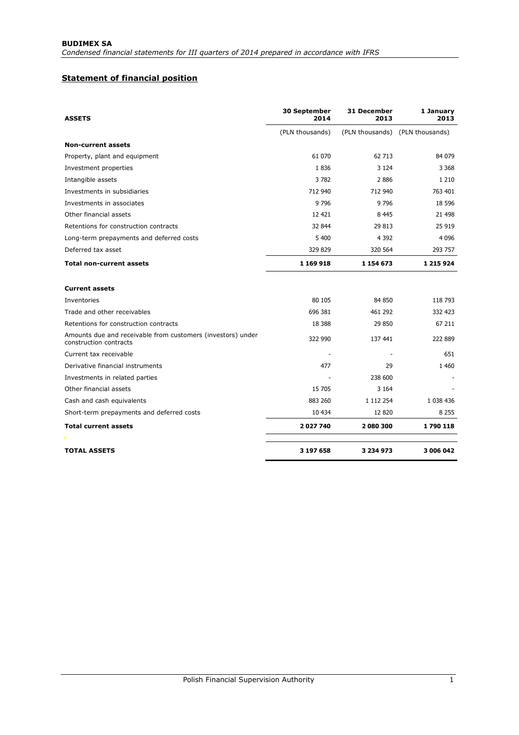# **Statement of financial position**

| <b>ASSETS</b>                                                                         | 30 September<br>2014 | <b>31 December</b><br>2013      | 1 January<br>2013 |
|---------------------------------------------------------------------------------------|----------------------|---------------------------------|-------------------|
|                                                                                       | (PLN thousands)      | (PLN thousands) (PLN thousands) |                   |
| <b>Non-current assets</b>                                                             |                      |                                 |                   |
| Property, plant and equipment                                                         | 61 070               | 62 713                          | 84 079            |
| Investment properties                                                                 | 1836                 | 3 1 2 4                         | 3 3 6 8           |
| Intangible assets                                                                     | 3782                 | 2886                            | 1 2 1 0           |
| Investments in subsidiaries                                                           | 712 940              | 712 940                         | 763 401           |
| Investments in associates                                                             | 9796                 | 9796                            | 18 5 96           |
| Other financial assets                                                                | 12 421               | 8 4 4 5                         | 21 498            |
| Retentions for construction contracts                                                 | 32 844               | 29 813                          | 25 919            |
| Long-term prepayments and deferred costs                                              | 5 400                | 4 3 9 2                         | 4 0 9 6           |
| Deferred tax asset                                                                    | 329 829              | 320 564                         | 293 757           |
| <b>Total non-current assets</b>                                                       | 1 169 918            | 1 154 673                       | 1 215 924         |
| <b>Current assets</b>                                                                 |                      |                                 |                   |
| Inventories                                                                           | 80 105               | 84 850                          | 118 793           |
| Trade and other receivables                                                           | 696 381              | 461 292                         | 332 423           |
| Retentions for construction contracts                                                 | 18 3 88              | 29 850                          | 67 211            |
| Amounts due and receivable from customers (investors) under<br>construction contracts | 322 990              | 137 441                         | 222 889           |
| Current tax receivable                                                                |                      |                                 | 651               |
| Derivative financial instruments                                                      | 477                  | 29                              | 1 4 6 0           |
| Investments in related parties                                                        |                      | 238 600                         |                   |
| Other financial assets                                                                | 15 705               | 3 1 6 4                         |                   |
| Cash and cash equivalents                                                             | 883 260              | 1 112 254                       | 1 038 436         |
| Short-term prepayments and deferred costs                                             | 10 434               | 12820                           | 8 2 5 5           |
| <b>Total current assets</b>                                                           | 2027740              | 2 080 300                       | 1790118           |
|                                                                                       |                      |                                 |                   |
| <b>TOTAL ASSETS</b>                                                                   | 3 197 658            | 3 234 973                       | 3 006 042         |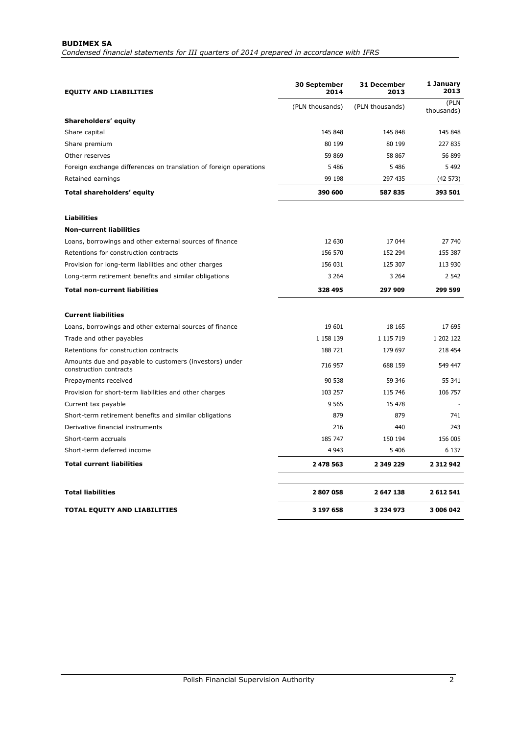# **BUDIMEX SA**

*Condensed financial statements for III quarters of 2014 prepared in accordance with IFRS* 

| <b>EQUITY AND LIABILITIES</b>                                                    | <b>30 September</b><br>2014 | 31 December<br>2013 | 1 January<br>2013  |
|----------------------------------------------------------------------------------|-----------------------------|---------------------|--------------------|
|                                                                                  | (PLN thousands)             | (PLN thousands)     | (PLN<br>thousands) |
| Shareholders' equity                                                             |                             |                     |                    |
| Share capital                                                                    | 145 848                     | 145 848             | 145 848            |
| Share premium                                                                    | 80 199                      | 80 199              | 227 835            |
| Other reserves                                                                   | 59 869                      | 58 867              | 56 899             |
| Foreign exchange differences on translation of foreign operations                | 5 4 8 6                     | 5 4 8 6             | 5492               |
| Retained earnings                                                                | 99 198                      | 297 435             | (42573)            |
| Total shareholders' equity                                                       | 390 600                     | 587835              | 393 501            |
| <b>Liabilities</b>                                                               |                             |                     |                    |
| <b>Non-current liabilities</b>                                                   |                             |                     |                    |
| Loans, borrowings and other external sources of finance                          | 12 630                      | 17 044              | 27 740             |
| Retentions for construction contracts                                            | 156 570                     | 152 294             | 155 387            |
| Provision for long-term liabilities and other charges                            | 156 031                     | 125 307             | 113 930            |
| Long-term retirement benefits and similar obligations                            | 3 2 6 4                     | 3 2 6 4             | 2 5 4 2            |
| <b>Total non-current liabilities</b>                                             | 328 495                     | 297 909             | 299 599            |
| <b>Current liabilities</b>                                                       |                             |                     |                    |
| Loans, borrowings and other external sources of finance                          | 19 601                      | 18 165              | 17 695             |
| Trade and other payables                                                         | 1 158 139                   | 1 1 1 5 7 1 9       | 1 202 122          |
| Retentions for construction contracts                                            | 188 721                     | 179 697             | 218 454            |
| Amounts due and payable to customers (investors) under<br>construction contracts | 716 957                     | 688 159             | 549 447            |
| Prepayments received                                                             | 90 538                      | 59 346              | 55 341             |
| Provision for short-term liabilities and other charges                           | 103 257                     | 115 746             | 106 757            |
| Current tax payable                                                              | 9 5 6 5                     | 15 478              |                    |
| Short-term retirement benefits and similar obligations                           | 879                         | 879                 | 741                |
| Derivative financial instruments                                                 | 216                         | 440                 | 243                |
| Short-term accruals                                                              | 185 747                     | 150 194             | 156 005            |
| Short-term deferred income                                                       | 4 9 43                      | 5 4 0 6             | 6 1 3 7            |
| <b>Total current liabilities</b>                                                 | 2 478 563                   | 2 349 229           | 2 3 1 2 9 4 2      |
| <b>Total liabilities</b>                                                         | 2807058                     | 2 647 138           | 2612541            |
| <b>TOTAL EQUITY AND LIABILITIES</b>                                              | 3 197 658                   | 3 234 973           | 3 006 042          |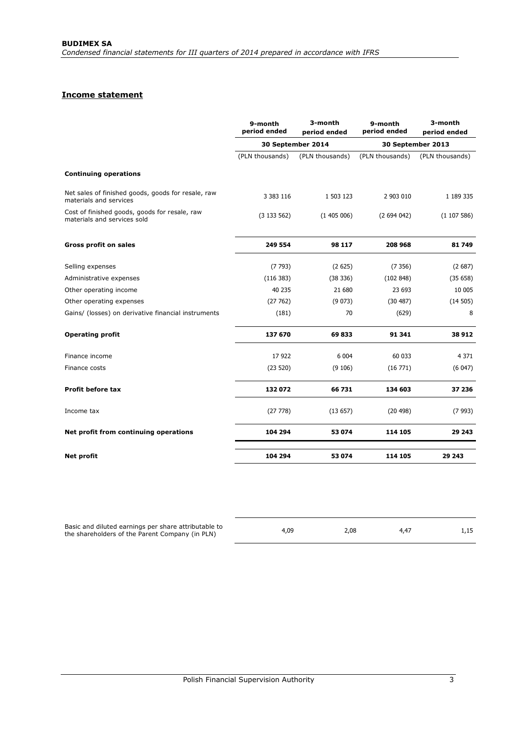# **Income statement**

|                                                                              | 9-month<br>period ended | 3-month<br>period ended | 9-month<br>period ended | 3-month<br>period ended |
|------------------------------------------------------------------------------|-------------------------|-------------------------|-------------------------|-------------------------|
|                                                                              |                         | 30 September 2014       |                         | 30 September 2013       |
|                                                                              | (PLN thousands)         | (PLN thousands)         | (PLN thousands)         | (PLN thousands)         |
| <b>Continuing operations</b>                                                 |                         |                         |                         |                         |
| Net sales of finished goods, goods for resale, raw<br>materials and services | 3 383 116               | 1 503 123               | 2 903 010               | 1 189 335               |
| Cost of finished goods, goods for resale, raw<br>materials and services sold | (3133562)               | (1405006)               | (2694042)               | (1107586)               |
| <b>Gross profit on sales</b>                                                 | 249 554                 | 98 117                  | 208 968                 | 81 749                  |
| Selling expenses                                                             | (7793)                  | (2625)                  | (7356)                  | (2687)                  |
| Administrative expenses                                                      | (116 383)               | (38 336)                | (102848)                | (35658)                 |
| Other operating income                                                       | 40 235                  | 21 680                  | 23 693                  | 10 005                  |
| Other operating expenses                                                     | (27762)                 | (9073)                  | (30 487)                | (14505)                 |
| Gains/ (losses) on derivative financial instruments                          | (181)                   | 70                      | (629)                   | 8                       |
| <b>Operating profit</b>                                                      | 137 670                 | 69833                   | 91 341                  | 38 912                  |
| Finance income                                                               | 17922                   | 6 0 0 4                 | 60 033                  | 4 3 7 1                 |
| Finance costs                                                                | (23520)                 | (9106)                  | (16771)                 | (6047)                  |
| <b>Profit before tax</b>                                                     | 132072                  | 66 731                  | 134 603                 | 37 236                  |
| Income tax                                                                   | (27778)                 | (13657)                 | (20498)                 | (7993)                  |
| Net profit from continuing operations                                        | 104 294                 | 53 074                  | 114 105                 | 29 243                  |
| Net profit                                                                   | 104 294                 | 53 074                  | 114 105                 | 29 243                  |

| Basic and diluted earnings per share attributable to<br>the shareholders of the Parent Company (in PLN) | 4,09 | 2.08 | 4.47 | 1,15 |
|---------------------------------------------------------------------------------------------------------|------|------|------|------|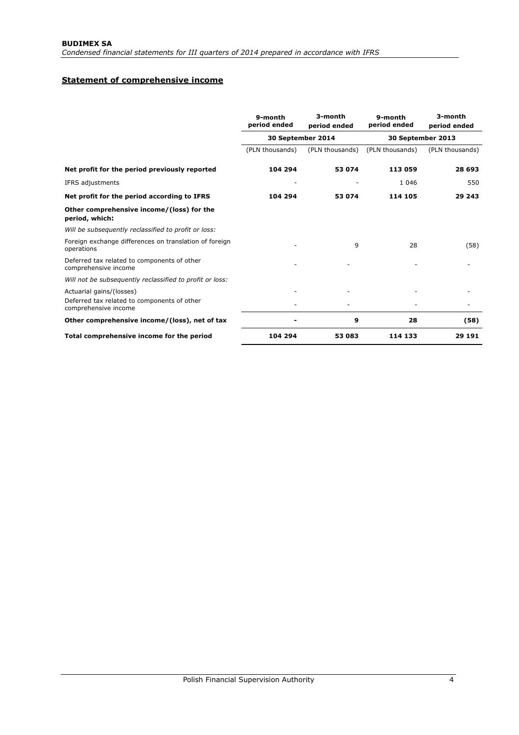# **Statement of comprehensive income**

|                                                                      | 9-month<br>period ended | 3-month<br>period ended | 9-month<br>period ended | 3-month<br>period ended |
|----------------------------------------------------------------------|-------------------------|-------------------------|-------------------------|-------------------------|
|                                                                      |                         | 30 September 2014       |                         | 30 September 2013       |
|                                                                      | (PLN thousands)         | (PLN thousands)         | (PLN thousands)         | (PLN thousands)         |
| Net profit for the period previously reported                        | 104 294                 | 53 074                  | 113 059                 | 28 693                  |
| IFRS adjustments                                                     |                         |                         | 1 0 4 6                 | 550                     |
| Net profit for the period according to IFRS                          | 104 294                 | 53 074                  | 114 105                 | 29 243                  |
| Other comprehensive income/(loss) for the<br>period, which:          |                         |                         |                         |                         |
| Will be subsequently reclassified to profit or loss:                 |                         |                         |                         |                         |
| Foreign exchange differences on translation of foreign<br>operations |                         | 9                       | 28                      | (58)                    |
| Deferred tax related to components of other<br>comprehensive income  |                         |                         |                         |                         |
| Will not be subsequently reclassified to profit or loss:             |                         |                         |                         |                         |
| Actuarial gains/(losses)                                             |                         |                         |                         |                         |
| Deferred tax related to components of other<br>comprehensive income  |                         |                         |                         |                         |
| Other comprehensive income/(loss), net of tax                        |                         | 9                       | 28                      | (58)                    |
| Total comprehensive income for the period                            | 104 294                 | 53 083                  | 114 133                 | 29 191                  |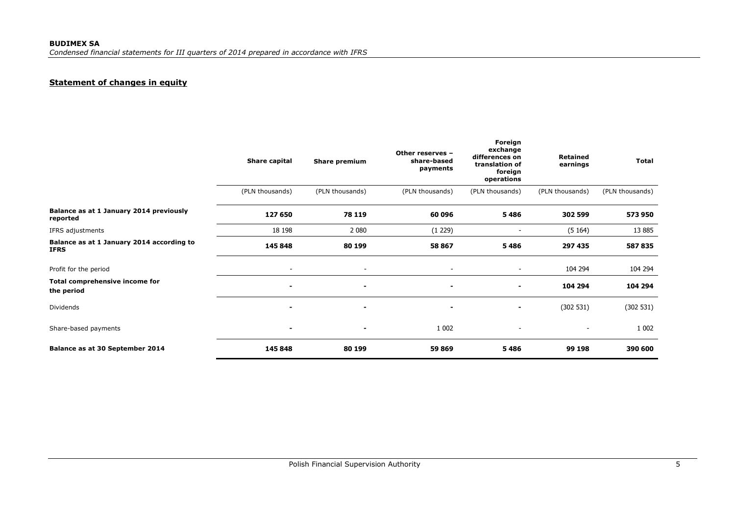# **Statement of changes in equity**

|                                                          | Share capital            | Share premium            | Other reserves -<br>share-based<br>payments | Foreign<br>exchange<br>differences on<br>translation of<br>foreign<br>operations | <b>Retained</b><br>earnings | <b>Total</b>    |
|----------------------------------------------------------|--------------------------|--------------------------|---------------------------------------------|----------------------------------------------------------------------------------|-----------------------------|-----------------|
|                                                          | (PLN thousands)          | (PLN thousands)          | (PLN thousands)                             | (PLN thousands)                                                                  | (PLN thousands)             | (PLN thousands) |
| Balance as at 1 January 2014 previously<br>reported      | 127 650                  | 78 119                   | 60 096                                      | 5486                                                                             | 302 599                     | 573 950         |
| IFRS adjustments                                         | 18 198                   | 2 0 8 0                  | (1 229)                                     | $\overline{\phantom{a}}$                                                         | (5164)                      | 13 885          |
| Balance as at 1 January 2014 according to<br><b>IFRS</b> | 145 848                  | 80 199                   | 58 867                                      | 5486                                                                             | 297 435                     | 587 835         |
| Profit for the period                                    | $\overline{\phantom{a}}$ | $\overline{\phantom{a}}$ | $\overline{\phantom{a}}$                    | $\overline{\phantom{0}}$                                                         | 104 294                     | 104 294         |
| Total comprehensive income for<br>the period             | ۰                        |                          | $\sim$                                      | ۰                                                                                | 104 294                     | 104 294         |
| Dividends                                                | $\blacksquare$           | $\blacksquare$           | ۰                                           | ٠                                                                                | (302 531)                   | (302 531)       |
| Share-based payments                                     | $\blacksquare$           | ۰                        | 1 0 0 2                                     | $\overline{\phantom{a}}$                                                         |                             | 1 0 0 2         |
| Balance as at 30 September 2014                          | 145 848                  | 80 199                   | 59 869                                      | 5486                                                                             | 99 198                      | 390 600         |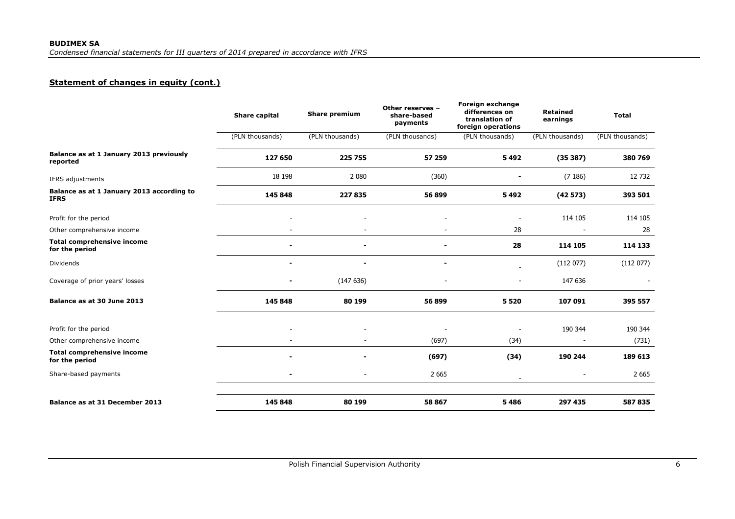# **Statement of changes in equity (cont.)**

|                                                          | Share capital   | Share premium   | Other reserves -<br>share-based<br>payments | Foreign exchange<br>differences on<br>translation of<br>foreign operations | <b>Retained</b><br>earnings | <b>Total</b>    |
|----------------------------------------------------------|-----------------|-----------------|---------------------------------------------|----------------------------------------------------------------------------|-----------------------------|-----------------|
|                                                          | (PLN thousands) | (PLN thousands) | (PLN thousands)                             | (PLN thousands)                                                            | (PLN thousands)             | (PLN thousands) |
| Balance as at 1 January 2013 previously<br>reported      | 127 650         | 225 755         | 57 259                                      | 5492                                                                       | (35387)                     | 380 769         |
| IFRS adjustments                                         | 18 198          | 2 0 8 0         | (360)                                       |                                                                            | (7186)                      | 12 732          |
| Balance as at 1 January 2013 according to<br><b>IFRS</b> | 145 848         | 227835          | 56 899                                      | 5492                                                                       | (42573)                     | 393 501         |
| Profit for the period                                    |                 |                 |                                             |                                                                            | 114 105                     | 114 105         |
| Other comprehensive income                               |                 |                 |                                             | 28                                                                         |                             | 28              |
| <b>Total comprehensive income</b><br>for the period      |                 |                 |                                             | 28                                                                         | 114 105                     | 114 133         |
| Dividends                                                |                 |                 | ۰                                           |                                                                            | (112077)                    | (112077)        |
| Coverage of prior years' losses                          |                 | (147636)        |                                             |                                                                            | 147 636                     |                 |
| Balance as at 30 June 2013                               | 145 848         | 80 199          | 56 899                                      | 5520                                                                       | 107 091                     | 395 557         |
| Profit for the period                                    |                 |                 |                                             |                                                                            | 190 344                     | 190 344         |
| Other comprehensive income                               |                 |                 | (697)                                       | (34)                                                                       |                             | (731)           |
| <b>Total comprehensive income</b><br>for the period      |                 |                 | (697)                                       | (34)                                                                       | 190 244                     | 189 613         |
| Share-based payments                                     |                 |                 | 2 6 6 5                                     |                                                                            |                             | 2 6 6 5         |
|                                                          |                 |                 |                                             |                                                                            |                             |                 |
| Balance as at 31 December 2013                           | 145 848         | 80 199          | 58 867                                      | 5486                                                                       | 297 435                     | 587835          |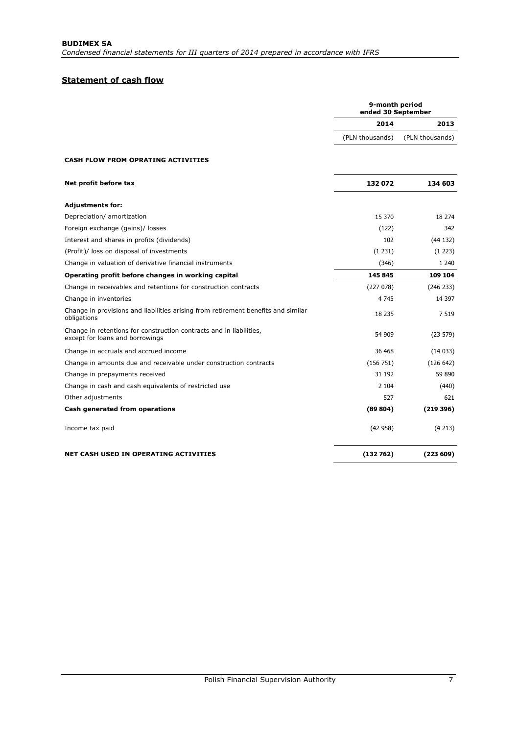# **Statement of cash flow**

|                                                                                                        | 9-month period<br>ended 30 September |                 |  |
|--------------------------------------------------------------------------------------------------------|--------------------------------------|-----------------|--|
|                                                                                                        | 2014                                 | 2013            |  |
|                                                                                                        | (PLN thousands)                      | (PLN thousands) |  |
| <b>CASH FLOW FROM OPRATING ACTIVITIES</b>                                                              |                                      |                 |  |
| Net profit before tax                                                                                  | 132072                               | 134 603         |  |
| <b>Adjustments for:</b>                                                                                |                                      |                 |  |
| Depreciation/ amortization                                                                             | 15 370                               | 18 274          |  |
| Foreign exchange (gains)/ losses                                                                       | (122)                                | 342             |  |
| Interest and shares in profits (dividends)                                                             | 102                                  | (44132)         |  |
| (Profit)/ loss on disposal of investments                                                              | (1 231)                              | (1 223)         |  |
| Change in valuation of derivative financial instruments                                                | (346)                                | 1 2 4 0         |  |
| Operating profit before changes in working capital                                                     | 145 845                              | 109 104         |  |
| Change in receivables and retentions for construction contracts                                        | (227078)                             | (246 233)       |  |
| Change in inventories                                                                                  | 4 7 4 5                              | 14 3 97         |  |
| Change in provisions and liabilities arising from retirement benefits and similar<br>obligations       | 18 235                               | 7 5 1 9         |  |
| Change in retentions for construction contracts and in liabilities,<br>except for loans and borrowings | 54 909                               | (23 579)        |  |
| Change in accruals and accrued income                                                                  | 36 468                               | (14033)         |  |
| Change in amounts due and receivable under construction contracts                                      | (156 751)                            | (126 642)       |  |
| Change in prepayments received                                                                         | 31 192                               | 59 890          |  |
| Change in cash and cash equivalents of restricted use                                                  | 2 1 0 4                              | (440)           |  |
| Other adjustments                                                                                      | 527                                  | 621             |  |
| Cash generated from operations                                                                         | (89804)                              | (219396)        |  |
| Income tax paid                                                                                        | (42958)                              | (4213)          |  |
| <b>NET CASH USED IN OPERATING ACTIVITIES</b>                                                           | (132762)                             | (223609)        |  |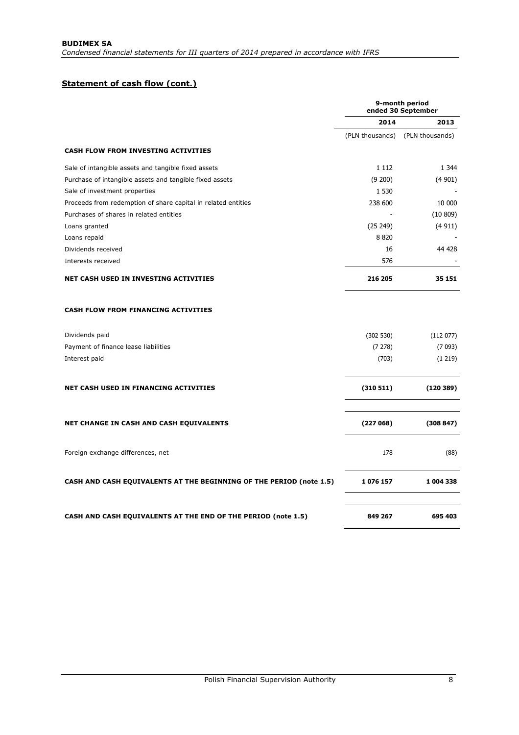# **Statement of cash flow (cont.)**

|                                                                     | 9-month period<br>ended 30 September |                 |  |
|---------------------------------------------------------------------|--------------------------------------|-----------------|--|
|                                                                     | 2014                                 | 2013            |  |
|                                                                     | (PLN thousands)                      | (PLN thousands) |  |
| <b>CASH FLOW FROM INVESTING ACTIVITIES</b>                          |                                      |                 |  |
| Sale of intangible assets and tangible fixed assets                 | 1 1 1 2                              | 1 3 4 4         |  |
| Purchase of intangible assets and tangible fixed assets             | (9 200)                              | (4901)          |  |
| Sale of investment properties                                       | 1 5 3 0                              |                 |  |
| Proceeds from redemption of share capital in related entities       | 238 600                              | 10 000          |  |
| Purchases of shares in related entities                             |                                      | (10 809)        |  |
| Loans granted                                                       | (25 249)                             | (4911)          |  |
| Loans repaid                                                        | 8820                                 |                 |  |
| Dividends received                                                  | 16                                   | 44 428          |  |
| Interests received                                                  | 576                                  |                 |  |
| <b>NET CASH USED IN INVESTING ACTIVITIES</b>                        | 216 205                              | 35 151          |  |
| <b>CASH FLOW FROM FINANCING ACTIVITIES</b>                          |                                      |                 |  |
| Dividends paid                                                      | (302 530)                            | (112077)        |  |
| Payment of finance lease liabilities                                | (7278)                               | (7 093)         |  |
| Interest paid                                                       | (703)                                | (1219)          |  |
| <b>NET CASH USED IN FINANCING ACTIVITIES</b>                        | (310 511)                            | (120389)        |  |
| <b>NET CHANGE IN CASH AND CASH EQUIVALENTS</b>                      | (227068)                             | (308847)        |  |
| Foreign exchange differences, net                                   | 178                                  | (88)            |  |
| CASH AND CASH EQUIVALENTS AT THE BEGINNING OF THE PERIOD (note 1.5) | 1076 157                             | 1 004 338       |  |
| CASH AND CASH EQUIVALENTS AT THE END OF THE PERIOD (note 1.5)       | 849 267                              | 695 403         |  |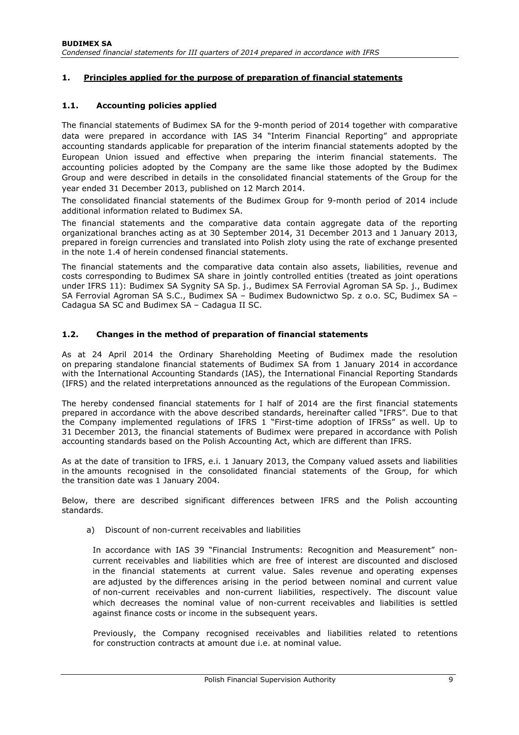# **1. Principles applied for the purpose of preparation of financial statements**

## **1.1. Accounting policies applied**

The financial statements of Budimex SA for the 9-month period of 2014 together with comparative data were prepared in accordance with IAS 34 "Interim Financial Reporting" and appropriate accounting standards applicable for preparation of the interim financial statements adopted by the European Union issued and effective when preparing the interim financial statements. The accounting policies adopted by the Company are the same like those adopted by the Budimex Group and were described in details in the consolidated financial statements of the Group for the year ended 31 December 2013, published on 12 March 2014.

The consolidated financial statements of the Budimex Group for 9-month period of 2014 include additional information related to Budimex SA.

The financial statements and the comparative data contain aggregate data of the reporting organizational branches acting as at 30 September 2014, 31 December 2013 and 1 January 2013, prepared in foreign currencies and translated into Polish zloty using the rate of exchange presented in the note 1.4 of herein condensed financial statements.

The financial statements and the comparative data contain also assets, liabilities, revenue and costs corresponding to Budimex SA share in jointly controlled entities (treated as joint operations under IFRS 11): Budimex SA Sygnity SA Sp. j., Budimex SA Ferrovial Agroman SA Sp. j., Budimex SA Ferrovial Agroman SA S.C., Budimex SA – Budimex Budownictwo Sp. z o.o. SC, Budimex SA – Cadagua SA SC and Budimex SA – Cadagua II SC.

### **1.2. Changes in the method of preparation of financial statements**

As at 24 April 2014 the Ordinary Shareholding Meeting of Budimex made the resolution on preparing standalone financial statements of Budimex SA from 1 January 2014 in accordance with the International Accounting Standards (IAS), the International Financial Reporting Standards (IFRS) and the related interpretations announced as the regulations of the European Commission.

The hereby condensed financial statements for I half of 2014 are the first financial statements prepared in accordance with the above described standards, hereinafter called "IFRS". Due to that the Company implemented regulations of IFRS 1 "First-time adoption of IFRSs" as well. Up to 31 December 2013, the financial statements of Budimex were prepared in accordance with Polish accounting standards based on the Polish Accounting Act, which are different than IFRS.

As at the date of transition to IFRS, e.i. 1 January 2013, the Company valued assets and liabilities in the amounts recognised in the consolidated financial statements of the Group, for which the transition date was 1 January 2004.

Below, there are described significant differences between IFRS and the Polish accounting standards.

a) Discount of non-current receivables and liabilities

In accordance with IAS 39 "Financial Instruments: Recognition and Measurement" noncurrent receivables and liabilities which are free of interest are discounted and disclosed in the financial statements at current value. Sales revenue and operating expenses are adjusted by the differences arising in the period between nominal and current value of non-current receivables and non-current liabilities, respectively. The discount value which decreases the nominal value of non-current receivables and liabilities is settled against finance costs or income in the subsequent years.

Previously, the Company recognised receivables and liabilities related to retentions for construction contracts at amount due i.e. at nominal value.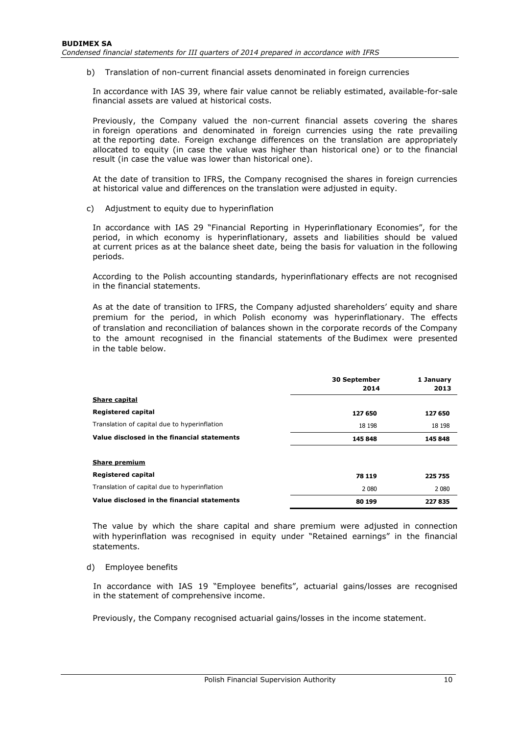b) Translation of non-current financial assets denominated in foreign currencies

In accordance with IAS 39, where fair value cannot be reliably estimated, available-for-sale financial assets are valued at historical costs.

Previously, the Company valued the non-current financial assets covering the shares in foreign operations and denominated in foreign currencies using the rate prevailing at the reporting date. Foreign exchange differences on the translation are appropriately allocated to equity (in case the value was higher than historical one) or to the financial result (in case the value was lower than historical one).

At the date of transition to IFRS, the Company recognised the shares in foreign currencies at historical value and differences on the translation were adjusted in equity.

c) Adjustment to equity due to hyperinflation

In accordance with IAS 29 "Financial Reporting in Hyperinflationary Economies", for the period, in which economy is hyperinflationary, assets and liabilities should be valued at current prices as at the balance sheet date, being the basis for valuation in the following periods.

According to the Polish accounting standards, hyperinflationary effects are not recognised in the financial statements.

As at the date of transition to IFRS, the Company adjusted shareholders' equity and share premium for the period, in which Polish economy was hyperinflationary. The effects of translation and reconciliation of balances shown in the corporate records of the Company to the amount recognised in the financial statements of the Budimex were presented in the table below.

|                                              | <b>30 September</b><br>2014 | 1 January<br>2013 |
|----------------------------------------------|-----------------------------|-------------------|
| <b>Share capital</b>                         |                             |                   |
| Registered capital                           | 127 650                     | 127 650           |
| Translation of capital due to hyperinflation | 18 198                      | 18 198            |
| Value disclosed in the financial statements  | 145 848                     | 145 848           |
|                                              |                             |                   |
| <b>Share premium</b>                         |                             |                   |
| <b>Registered capital</b>                    | 78 119                      | 225 755           |
| Translation of capital due to hyperinflation | 2 0 8 0                     | 2 0 8 0           |
| Value disclosed in the financial statements  | 80 199                      | 227835            |

The value by which the share capital and share premium were adjusted in connection with hyperinflation was recognised in equity under "Retained earnings" in the financial statements.

#### d) Employee benefits

In accordance with IAS 19 "Employee benefits", actuarial gains/losses are recognised in the statement of comprehensive income.

Previously, the Company recognised actuarial gains/losses in the income statement.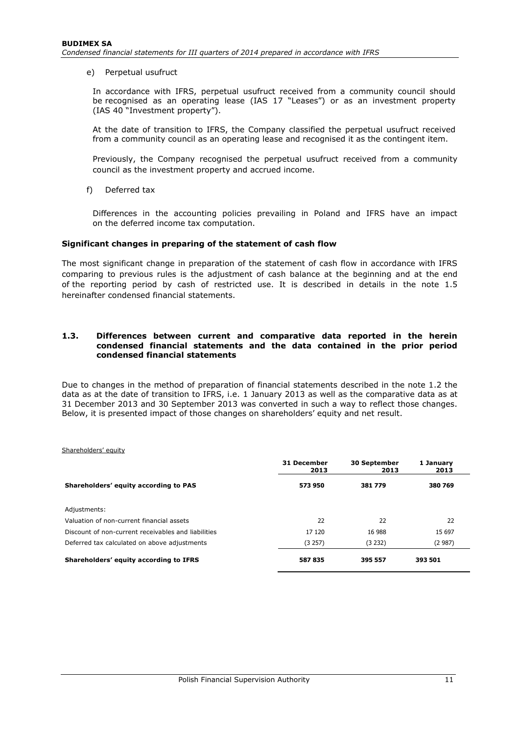e) Perpetual usufruct

In accordance with IFRS, perpetual usufruct received from a community council should be recognised as an operating lease (IAS 17 "Leases") or as an investment property (IAS 40 "Investment property").

At the date of transition to IFRS, the Company classified the perpetual usufruct received from a community council as an operating lease and recognised it as the contingent item.

Previously, the Company recognised the perpetual usufruct received from a community council as the investment property and accrued income.

f) Deferred tax

Differences in the accounting policies prevailing in Poland and IFRS have an impact on the deferred income tax computation.

#### **Significant changes in preparing of the statement of cash flow**

The most significant change in preparation of the statement of cash flow in accordance with IFRS comparing to previous rules is the adjustment of cash balance at the beginning and at the end of the reporting period by cash of restricted use. It is described in details in the note 1.5 hereinafter condensed financial statements.

#### **1.3. Differences between current and comparative data reported in the herein condensed financial statements and the data contained in the prior period condensed financial statements**

Due to changes in the method of preparation of financial statements described in the note 1.2 the data as at the date of transition to IFRS, i.e. 1 January 2013 as well as the comparative data as at 31 December 2013 and 30 September 2013 was converted in such a way to reflect those changes. Below, it is presented impact of those changes on shareholders' equity and net result.

#### Shareholders' equity

|                                                     | 31 December<br>2013 | <b>30 September</b><br>2013 | 1 Januarv<br>2013 |
|-----------------------------------------------------|---------------------|-----------------------------|-------------------|
| Shareholders' equity according to PAS               | 573950              | 381779                      | 380 769           |
| Adjustments:                                        |                     |                             |                   |
| Valuation of non-current financial assets           | 22                  | 22                          | 22                |
| Discount of non-current receivables and liabilities | 17 120              | 16 988                      | 15 697            |
| Deferred tax calculated on above adjustments        | (3 257)             | (3 232)                     | (2987)            |
| Shareholders' equity according to IFRS              | 587835              | 395 557                     | 393 501           |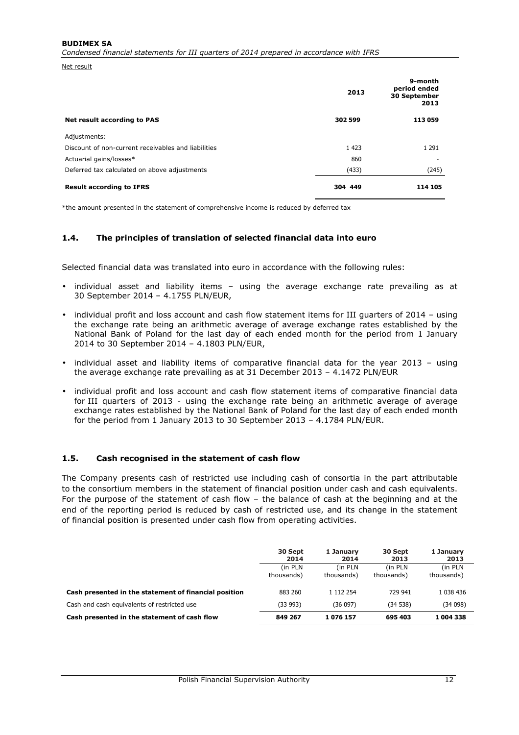#### **BUDIMEX SA**

*Condensed financial statements for III quarters of 2014 prepared in accordance with IFRS* 

Net result

|                                                     | 2013    | 9-month<br>period ended<br>30 September<br>2013 |  |
|-----------------------------------------------------|---------|-------------------------------------------------|--|
| Net result according to PAS                         | 302 599 | 113 059                                         |  |
| Adjustments:                                        |         |                                                 |  |
| Discount of non-current receivables and liabilities | 1 4 2 3 | 1 2 9 1                                         |  |
| Actuarial gains/losses*                             | 860     |                                                 |  |
| Deferred tax calculated on above adjustments        | (433)   | (245)                                           |  |
| <b>Result according to IFRS</b>                     | 304 449 | 114 105                                         |  |

\*the amount presented in the statement of comprehensive income is reduced by deferred tax

#### **1.4. The principles of translation of selected financial data into euro**

Selected financial data was translated into euro in accordance with the following rules:

- individual asset and liability items using the average exchange rate prevailing as at 30 September 2014 – 4.1755 PLN/EUR,
- individual profit and loss account and cash flow statement items for III guarters of 2014 using the exchange rate being an arithmetic average of average exchange rates established by the National Bank of Poland for the last day of each ended month for the period from 1 January 2014 to 30 September 2014 – 4.1803 PLN/EUR,
- individual asset and liability items of comparative financial data for the year 2013 using the average exchange rate prevailing as at 31 December 2013 – 4.1472 PLN/EUR
- individual profit and loss account and cash flow statement items of comparative financial data for III quarters of 2013 - using the exchange rate being an arithmetic average of average exchange rates established by the National Bank of Poland for the last day of each ended month for the period from 1 January 2013 to 30 September 2013 – 4.1784 PLN/EUR.

#### **1.5. Cash recognised in the statement of cash flow**

The Company presents cash of restricted use including cash of consortia in the part attributable to the consortium members in the statement of financial position under cash and cash equivalents. For the purpose of the statement of cash flow – the balance of cash at the beginning and at the end of the reporting period is reduced by cash of restricted use, and its change in the statement of financial position is presented under cash flow from operating activities.

|                                                       | 30 Sept<br>2014 | 1 January<br>2014 | 30 Sept<br>2013 | 1 January<br>2013 |
|-------------------------------------------------------|-----------------|-------------------|-----------------|-------------------|
|                                                       | (in PLN)        | (in PLN)          | (in PLN)        | (in PLN           |
|                                                       | thousands)      | thousands)        | thousands)      | thousands)        |
| Cash presented in the statement of financial position | 883 260         | 1 112 254         | 729 941         | 1 038 436         |
| Cash and cash equivalents of restricted use           | (33993)         | (36097)           | (34538)         | (34098)           |
| Cash presented in the statement of cash flow          | 849 267         | 1076157           | 695 403         | 1 004 338         |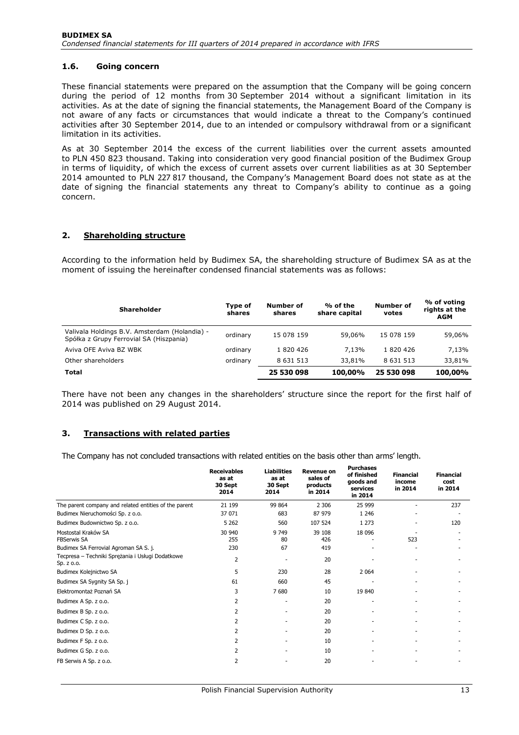## **1.6. Going concern**

These financial statements were prepared on the assumption that the Company will be going concern during the period of 12 months from 30 September 2014 without a significant limitation in its activities. As at the date of signing the financial statements, the Management Board of the Company is not aware of any facts or circumstances that would indicate a threat to the Company's continued activities after 30 September 2014, due to an intended or compulsory withdrawal from or a significant limitation in its activities.

As at 30 September 2014 the excess of the current liabilities over the current assets amounted to PLN 450 823 thousand. Taking into consideration very good financial position of the Budimex Group in terms of liquidity, of which the excess of current assets over current liabilities as at 30 September 2014 amounted to PLN 227 817 thousand, the Company's Management Board does not state as at the date of signing the financial statements any threat to Company's ability to continue as a going concern.

### **2. Shareholding structure**

According to the information held by Budimex SA, the shareholding structure of Budimex SA as at the moment of issuing the hereinafter condensed financial statements was as follows:

| <b>Shareholder</b>                                                                       | Type of<br>shares | Number of<br>shares | % of the<br>share capital | <b>Number of</b><br>votes | % of voting<br>rights at the<br><b>AGM</b> |
|------------------------------------------------------------------------------------------|-------------------|---------------------|---------------------------|---------------------------|--------------------------------------------|
| Valivala Holdings B.V. Amsterdam (Holandia) -<br>Spółka z Grupy Ferrovial SA (Hiszpania) | ordinary          | 15 078 159          | 59,06%                    | 15 078 159                | 59,06%                                     |
| Aviva OFE Aviva BZ WBK                                                                   | ordinary          | 1820426             | 7.13%                     | 1820426                   | 7.13%                                      |
| Other shareholders                                                                       | ordinary          | 8 6 3 1 5 1 3       | 33,81%                    | 8 6 3 1 5 1 3             | 33,81%                                     |
| Total                                                                                    |                   | 25 530 098          | 100,00%                   | 25 530 098                | 100,00%                                    |

There have not been any changes in the shareholders' structure since the report for the first half of 2014 was published on 29 August 2014.

# **3. Transactions with related parties**

The Company has not concluded transactions with related entities on the basis other than arms' length.

|                                                                | <b>Receivables</b><br>as at<br>30 Sept<br>2014 | <b>Liabilities</b><br>as at<br>30 Sept<br>2014 | <b>Revenue on</b><br>sales of<br>products<br>in 2014 | <b>Purchases</b><br>of finished<br>goods and<br>services<br>in 2014 | <b>Financial</b><br>income<br>in 2014 | <b>Financial</b><br>cost<br>in 2014 |
|----------------------------------------------------------------|------------------------------------------------|------------------------------------------------|------------------------------------------------------|---------------------------------------------------------------------|---------------------------------------|-------------------------------------|
| The parent company and related entities of the parent          | 21 199                                         | 99 864                                         | 2 3 0 6                                              | 25 999                                                              |                                       | 237                                 |
| Budimex Nieruchomości Sp. z o.o.                               | 37 071                                         | 683                                            | 87 979                                               | 1 2 4 6                                                             |                                       |                                     |
| Budimex Budownictwo Sp. z o.o.                                 | 5 2 6 2                                        | 560                                            | 107 524                                              | 1 2 7 3                                                             |                                       | 120                                 |
| Mostostal Kraków SA<br><b>FBSerwis SA</b>                      | 30 940<br>255                                  | 9 7 4 9<br>80                                  | 39 108<br>426                                        | 18 096                                                              | 523                                   |                                     |
| Budimex SA Ferrovial Agroman SA S. j.                          | 230                                            | 67                                             | 419                                                  |                                                                     |                                       |                                     |
| Tecpresa - Techniki Sprężania i Usługi Dodatkowe<br>Sp. z o.o. | $\overline{2}$                                 |                                                | 20                                                   |                                                                     |                                       |                                     |
| Budimex Kolejnictwo SA                                         | 5                                              | 230                                            | 28                                                   | 2 0 6 4                                                             |                                       |                                     |
| Budimex SA Sygnity SA Sp. j                                    | 61                                             | 660                                            | 45                                                   |                                                                     |                                       |                                     |
| Elektromontaż Poznań SA                                        | 3                                              | 7680                                           | 10                                                   | 19 840                                                              |                                       |                                     |
| Budimex A Sp. z o.o.                                           | 2                                              |                                                | 20                                                   |                                                                     |                                       |                                     |
| Budimex B Sp. z o.o.                                           | 2                                              |                                                | 20                                                   |                                                                     |                                       |                                     |
| Budimex C Sp. z o.o.                                           | 2                                              |                                                | 20                                                   |                                                                     |                                       |                                     |
| Budimex D Sp. z o.o.                                           | 2                                              |                                                | 20                                                   |                                                                     |                                       |                                     |
| Budimex F Sp. z o.o.                                           | $\overline{2}$                                 |                                                | 10                                                   |                                                                     |                                       |                                     |
| Budimex G Sp. z o.o.                                           | 2                                              |                                                | 10                                                   |                                                                     |                                       |                                     |
| FB Serwis A Sp. z o.o.                                         | 2                                              |                                                | 20                                                   |                                                                     |                                       |                                     |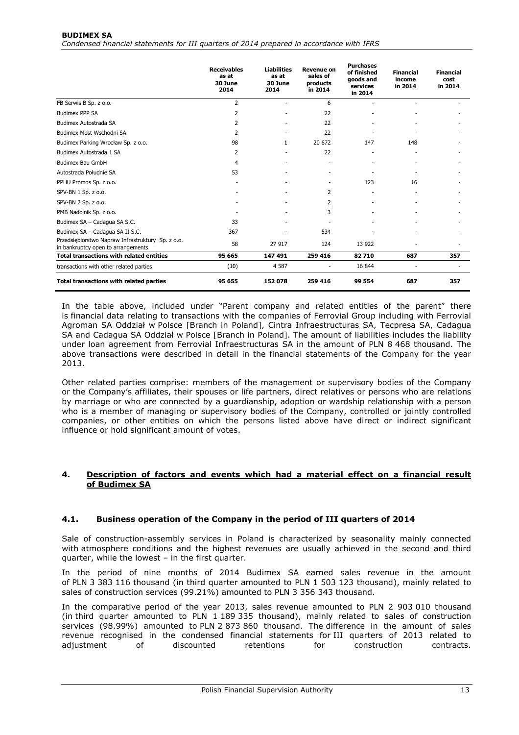#### **BUDIMEX SA**  *Condensed financial statements for III quarters of 2014 prepared in accordance with IFRS*

|                                                                                         | <b>Receivables</b><br>as at<br>30 June<br>2014 | <b>Liabilities</b><br>as at<br>30 June<br>2014 | <b>Revenue on</b><br>sales of<br>products<br>in 2014 | <b>Purchases</b><br>of finished<br>goods and<br>services<br>in 2014 | <b>Financial</b><br>income<br>in 2014 | <b>Financial</b><br>cost<br>in 2014 |
|-----------------------------------------------------------------------------------------|------------------------------------------------|------------------------------------------------|------------------------------------------------------|---------------------------------------------------------------------|---------------------------------------|-------------------------------------|
| FB Serwis B Sp. z o.o.                                                                  | $\overline{2}$                                 |                                                | 6                                                    |                                                                     |                                       |                                     |
| <b>Budimex PPP SA</b>                                                                   | 2                                              |                                                | 22                                                   |                                                                     |                                       |                                     |
| Budimex Autostrada SA                                                                   | 2                                              |                                                | 22                                                   |                                                                     |                                       |                                     |
| Budimex Most Wschodni SA                                                                | 2                                              |                                                | 22                                                   |                                                                     |                                       |                                     |
| Budimex Parking Wrocław Sp. z o.o.                                                      | 98                                             | 1                                              | 20 672                                               | 147                                                                 | 148                                   |                                     |
| Budimex Autostrada 1 SA                                                                 | 2                                              |                                                | 22                                                   |                                                                     |                                       |                                     |
| Budimex Bau GmbH                                                                        | 4                                              |                                                |                                                      |                                                                     |                                       |                                     |
| Autostrada Południe SA                                                                  | 53                                             |                                                | $\overline{\phantom{a}}$                             |                                                                     |                                       |                                     |
| PPHU Promos Sp. z o.o.                                                                  |                                                |                                                | $\overline{\phantom{a}}$                             | 123                                                                 | 16                                    |                                     |
| SPV-BN 1 Sp. z o.o.                                                                     |                                                |                                                | 2                                                    |                                                                     |                                       |                                     |
| SPV-BN 2 Sp. z o.o.                                                                     |                                                |                                                | 2                                                    |                                                                     |                                       |                                     |
| PMB Nadolnik Sp. z o.o.                                                                 |                                                |                                                | 3                                                    |                                                                     |                                       |                                     |
| Budimex SA - Cadagua SA S.C.                                                            | 33                                             |                                                |                                                      |                                                                     |                                       |                                     |
| Budimex SA - Cadagua SA II S.C.                                                         | 367                                            |                                                | 534                                                  |                                                                     |                                       |                                     |
| Przedsiębiorstwo Napraw Infrastruktury Sp. z o.o.<br>in bankruptcy open to arrangements | 58                                             | 27 917                                         | 124                                                  | 13 9 22                                                             |                                       |                                     |
| <b>Total transactions with related entities</b>                                         | 95 665                                         | 147 491                                        | 259 416                                              | 82710                                                               | 687                                   | 357                                 |
| transactions with other related parties                                                 | (10)                                           | 4 5 8 7                                        |                                                      | 16 844                                                              |                                       |                                     |
| <b>Total transactions with related parties</b>                                          | 95 655                                         | 152 078                                        | 259 416                                              | 99 554                                                              | 687                                   | 357                                 |

In the table above, included under "Parent company and related entities of the parent" there is financial data relating to transactions with the companies of Ferrovial Group including with Ferrovial Agroman SA Oddział w Polsce [Branch in Poland], Cintra Infraestructuras SA, Tecpresa SA, Cadagua SA and Cadagua SA Oddział w Polsce [Branch in Poland]. The amount of liabilities includes the liability under loan agreement from Ferrovial Infraestructuras SA in the amount of PLN 8 468 thousand. The above transactions were described in detail in the financial statements of the Company for the year 2013.

Other related parties comprise: members of the management or supervisory bodies of the Company or the Company's affiliates, their spouses or life partners, direct relatives or persons who are relations by marriage or who are connected by a guardianship, adoption or wardship relationship with a person who is a member of managing or supervisory bodies of the Company, controlled or jointly controlled companies, or other entities on which the persons listed above have direct or indirect significant influence or hold significant amount of votes.

### **4. Description of factors and events which had a material effect on a financial result of Budimex SA**

# **4.1. Business operation of the Company in the period of III quarters of 2014**

Sale of construction-assembly services in Poland is characterized by seasonality mainly connected with atmosphere conditions and the highest revenues are usually achieved in the second and third quarter, while the lowest – in the first quarter.

In the period of nine months of 2014 Budimex SA earned sales revenue in the amount of PLN 3 383 116 thousand (in third quarter amounted to PLN 1 503 123 thousand), mainly related to sales of construction services (99.21%) amounted to PLN 3 356 343 thousand.

In the comparative period of the year 2013, sales revenue amounted to PLN 2 903 010 thousand (in third quarter amounted to PLN 1 189 335 thousand), mainly related to sales of construction services (98.99%) amounted to PLN 2 873 860 thousand. The difference in the amount of sales revenue recognised in the condensed financial statements for III quarters of 2013 related to adjustment of discounted retentions for construction contracts.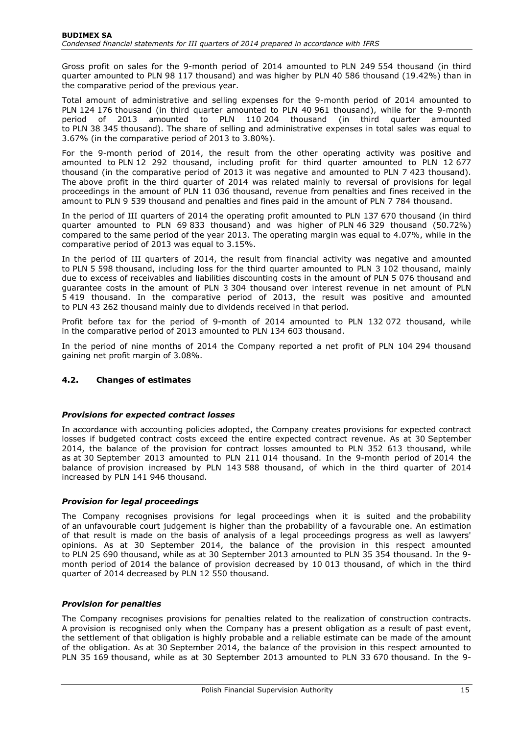Gross profit on sales for the 9-month period of 2014 amounted to PLN 249 554 thousand (in third quarter amounted to PLN 98 117 thousand) and was higher by PLN 40 586 thousand (19.42%) than in the comparative period of the previous year.

Total amount of administrative and selling expenses for the 9-month period of 2014 amounted to PLN 124 176 thousand (in third quarter amounted to PLN 40 961 thousand), while for the 9-month period of 2013 amounted to PLN 110 204 thousand (in third quarter amounted to PLN 38 345 thousand). The share of selling and administrative expenses in total sales was equal to 3.67% (in the comparative period of 2013 to 3.80%).

For the 9-month period of 2014, the result from the other operating activity was positive and amounted to PLN 12 292 thousand, including profit for third quarter amounted to PLN 12 677 thousand (in the comparative period of 2013 it was negative and amounted to PLN 7 423 thousand). The above profit in the third quarter of 2014 was related mainly to reversal of provisions for legal proceedings in the amount of PLN 11 036 thousand, revenue from penalties and fines received in the amount to PLN 9 539 thousand and penalties and fines paid in the amount of PLN 7 784 thousand.

In the period of III quarters of 2014 the operating profit amounted to PLN 137 670 thousand (in third quarter amounted to PLN 69 833 thousand) and was higher of PLN 46 329 thousand (50.72%) compared to the same period of the year 2013. The operating margin was equal to 4.07%, while in the comparative period of 2013 was equal to 3.15%.

In the period of III quarters of 2014, the result from financial activity was negative and amounted to PLN 5 598 thousand, including loss for the third quarter amounted to PLN 3 102 thousand, mainly due to excess of receivables and liabilities discounting costs in the amount of PLN 5 076 thousand and guarantee costs in the amount of PLN 3 304 thousand over interest revenue in net amount of PLN 5 419 thousand. In the comparative period of 2013, the result was positive and amounted to PLN 43 262 thousand mainly due to dividends received in that period.

Profit before tax for the period of 9-month of 2014 amounted to PLN 132 072 thousand, while in the comparative period of 2013 amounted to PLN 134 603 thousand.

In the period of nine months of 2014 the Company reported a net profit of PLN 104 294 thousand gaining net profit margin of 3.08%.

# **4.2. Changes of estimates**

# *Provisions for expected contract losses*

In accordance with accounting policies adopted, the Company creates provisions for expected contract losses if budgeted contract costs exceed the entire expected contract revenue. As at 30 September 2014, the balance of the provision for contract losses amounted to PLN 352 613 thousand, while as at 30 September 2013 amounted to PLN 211 014 thousand. In the 9-month period of 2014 the balance of provision increased by PLN 143 588 thousand, of which in the third quarter of 2014 increased by PLN 141 946 thousand.

# *Provision for legal proceedings*

The Company recognises provisions for legal proceedings when it is suited and the probability of an unfavourable court judgement is higher than the probability of a favourable one. An estimation of that result is made on the basis of analysis of a legal proceedings progress as well as lawyers' opinions. As at 30 September 2014, the balance of the provision in this respect amounted to PLN 25 690 thousand, while as at 30 September 2013 amounted to PLN 35 354 thousand. In the 9 month period of 2014 the balance of provision decreased by 10 013 thousand, of which in the third quarter of 2014 decreased by PLN 12 550 thousand.

# *Provision for penalties*

The Company recognises provisions for penalties related to the realization of construction contracts. A provision is recognised only when the Company has a present obligation as a result of past event, the settlement of that obligation is highly probable and a reliable estimate can be made of the amount of the obligation. As at 30 September 2014, the balance of the provision in this respect amounted to PLN 35 169 thousand, while as at 30 September 2013 amounted to PLN 33 670 thousand. In the 9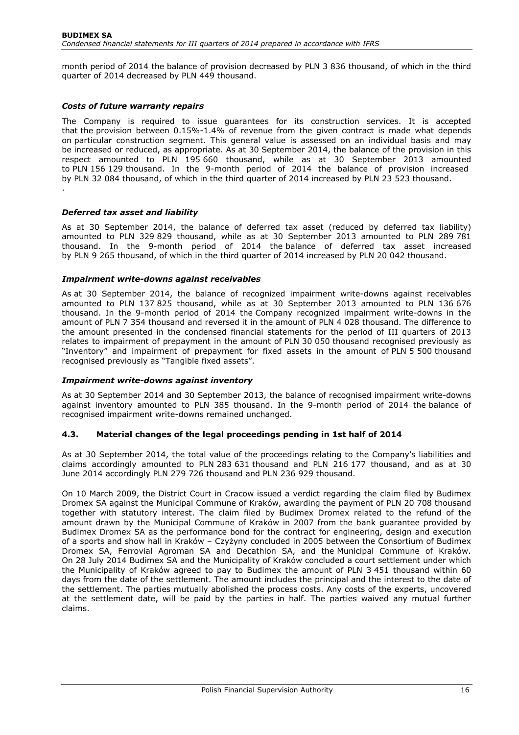month period of 2014 the balance of provision decreased by PLN 3 836 thousand, of which in the third quarter of 2014 decreased by PLN 449 thousand.

#### *Costs of future warranty repairs*

The Company is required to issue guarantees for its construction services. It is accepted that the provision between 0.15%-1.4% of revenue from the given contract is made what depends on particular construction segment. This general value is assessed on an individual basis and may be increased or reduced, as appropriate. As at 30 September 2014, the balance of the provision in this respect amounted to PLN 195 660 thousand, while as at 30 September 2013 amounted to PLN 156 129 thousand. In the 9-month period of 2014 the balance of provision increased by PLN 32 084 thousand, of which in the third quarter of 2014 increased by PLN 23 523 thousand. .

#### *Deferred tax asset and liability*

As at 30 September 2014, the balance of deferred tax asset (reduced by deferred tax liability) amounted to PLN 329 829 thousand, while as at 30 September 2013 amounted to PLN 289 781 thousand. In the 9-month period of 2014 the balance of deferred tax asset increased by PLN 9 265 thousand, of which in the third quarter of 2014 increased by PLN 20 042 thousand.

#### *Impairment write-downs against receivables*

As at 30 September 2014, the balance of recognized impairment write-downs against receivables amounted to PLN 137 825 thousand, while as at 30 September 2013 amounted to PLN 136 676 thousand. In the 9-month period of 2014 the Company recognized impairment write-downs in the amount of PLN 7 354 thousand and reversed it in the amount of PLN 4 028 thousand. The difference to the amount presented in the condensed financial statements for the period of III quarters of 2013 relates to impairment of prepayment in the amount of PLN 30 050 thousand recognised previously as "Inventory" and impairment of prepayment for fixed assets in the amount of PLN 5 500 thousand recognised previously as "Tangible fixed assets".

#### *Impairment write-downs against inventory*

As at 30 September 2014 and 30 September 2013, the balance of recognised impairment write-downs against inventory amounted to PLN 385 thousand. In the 9-month period of 2014 the balance of recognised impairment write-downs remained unchanged.

#### **4.3. Material changes of the legal proceedings pending in 1st half of 2014**

As at 30 September 2014, the total value of the proceedings relating to the Company's liabilities and claims accordingly amounted to PLN 283 631 thousand and PLN 216 177 thousand, and as at 30 June 2014 accordingly PLN 279 726 thousand and PLN 236 929 thousand.

On 10 March 2009, the District Court in Cracow issued a verdict regarding the claim filed by Budimex Dromex SA against the Municipal Commune of Kraków, awarding the payment of PLN 20 708 thousand together with statutory interest. The claim filed by Budimex Dromex related to the refund of the amount drawn by the Municipal Commune of Kraków in 2007 from the bank guarantee provided by Budimex Dromex SA as the performance bond for the contract for engineering, design and execution of a sports and show hall in Kraków – Czyżyny concluded in 2005 between the Consortium of Budimex Dromex SA, Ferrovial Agroman SA and Decathlon SA, and the Municipal Commune of Kraków. On 28 July 2014 Budimex SA and the Municipality of Kraków concluded a court settlement under which the Municipality of Kraków agreed to pay to Budimex the amount of PLN 3 451 thousand within 60 days from the date of the settlement. The amount includes the principal and the interest to the date of the settlement. The parties mutually abolished the process costs. Any costs of the experts, uncovered at the settlement date, will be paid by the parties in half. The parties waived any mutual further claims.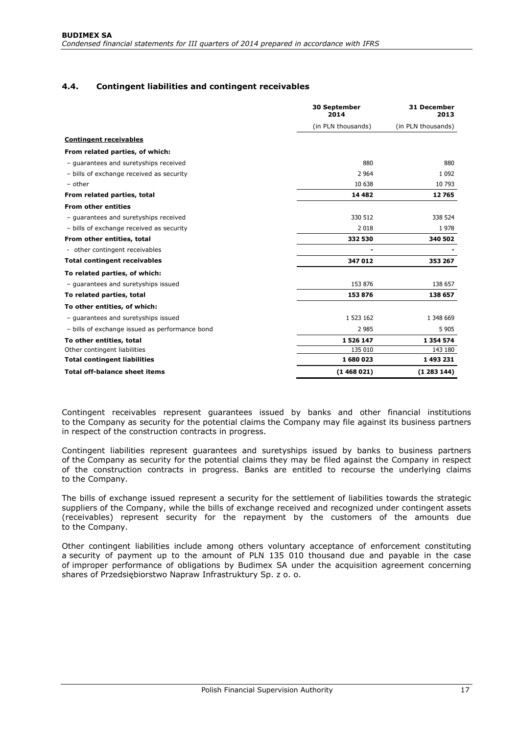# **4.4. Contingent liabilities and contingent receivables**

|                                                | 30 September<br>2014 | 31 December<br>2013 |
|------------------------------------------------|----------------------|---------------------|
|                                                | (in PLN thousands)   | (in PLN thousands)  |
| <b>Contingent receivables</b>                  |                      |                     |
| From related parties, of which:                |                      |                     |
| - guarantees and suretyships received          | 880                  | 880                 |
| - bills of exchange received as security       | 2 9 6 4              | 1 0 9 2             |
| $-$ other                                      | 10 638               | 10 793              |
| From related parties, total                    | 14 4 8 2             | 12765               |
| <b>From other entities</b>                     |                      |                     |
| - guarantees and suretyships received          | 330 512              | 338 524             |
| - bills of exchange received as security       | 2018                 | 1978                |
| From other entities, total                     | 332 530              | 340 502             |
| - other contingent receivables                 |                      |                     |
| <b>Total contingent receivables</b>            | 347 012              | 353 267             |
| To related parties, of which:                  |                      |                     |
| - guarantees and suretyships issued            | 153 876              | 138 657             |
| To related parties, total                      | 153876               | 138 657             |
| To other entities, of which:                   |                      |                     |
| - quarantees and suretyships issued            | 1 523 162            | 1 348 669           |
| - bills of exchange issued as performance bond | 2 9 8 5              | 5 9 0 5             |
| To other entities, total                       | 1526147              | 1 3 5 4 5 7 4       |
| Other contingent liabilities                   | 135 010              | 143 180             |
| <b>Total contingent liabilities</b>            | 1680023              | 1 493 231           |
| <b>Total off-balance sheet items</b>           | (1468021)            | (1283144)           |

Contingent receivables represent guarantees issued by banks and other financial institutions to the Company as security for the potential claims the Company may file against its business partners in respect of the construction contracts in progress.

Contingent liabilities represent guarantees and suretyships issued by banks to business partners of the Company as security for the potential claims they may be filed against the Company in respect of the construction contracts in progress. Banks are entitled to recourse the underlying claims to the Company.

The bills of exchange issued represent a security for the settlement of liabilities towards the strategic suppliers of the Company, while the bills of exchange received and recognized under contingent assets (receivables) represent security for the repayment by the customers of the amounts due to the Company.

Other contingent liabilities include among others voluntary acceptance of enforcement constituting a security of payment up to the amount of PLN 135 010 thousand due and payable in the case of improper performance of obligations by Budimex SA under the acquisition agreement concerning shares of Przedsiębiorstwo Napraw Infrastruktury Sp. z o. o.